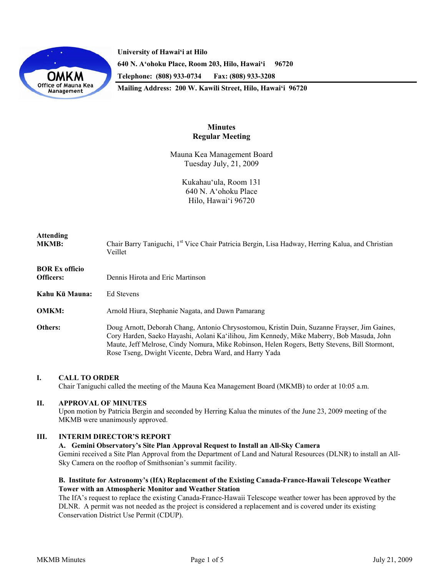

**University of Hawai'i at Hilo 640 N. A'ohoku Place, Room 203, Hilo, Hawai'i 96720 Telephone: (808) 933-0734 Fax: (808) 933-3208 Mailing Address: 200 W. Kawili Street, Hilo, Hawai'i 96720** 

> **Minutes Regular Meeting**

Mauna Kea Management Board Tuesday July, 21, 2009

> Kukahau'ula, Room 131 640 N. A'ohoku Place Hilo, Hawai'i 96720

| <b>Attending</b><br><b>MKMB:</b>   | Chair Barry Taniguchi, 1 <sup>st</sup> Vice Chair Patricia Bergin, Lisa Hadway, Herring Kalua, and Christian<br>Veillet                                                                                                                                                                                                                              |
|------------------------------------|------------------------------------------------------------------------------------------------------------------------------------------------------------------------------------------------------------------------------------------------------------------------------------------------------------------------------------------------------|
| <b>BOR Ex officio</b><br>Officers: | Dennis Hirota and Eric Martinson                                                                                                                                                                                                                                                                                                                     |
| Kahu Kū Mauna:                     | Ed Stevens                                                                                                                                                                                                                                                                                                                                           |
| <b>OMKM:</b>                       | Arnold Hiura, Stephanie Nagata, and Dawn Pamarang                                                                                                                                                                                                                                                                                                    |
| Others:                            | Doug Arnott, Deborah Chang, Antonio Chrysostomou, Kristin Duin, Suzanne Frayser, Jim Gaines,<br>Cory Harden, Saeko Hayashi, Aolani Ka'ilihou, Jim Kennedy, Mike Maberry, Bob Masuda, John<br>Maute, Jeff Melrose, Cindy Nomura, Mike Robinson, Helen Rogers, Betty Stevens, Bill Stormont,<br>Rose Tseng, Dwight Vicente, Debra Ward, and Harry Yada |

## **I. CALL TO ORDER**

Chair Taniguchi called the meeting of the Mauna Kea Management Board (MKMB) to order at 10:05 a.m.

## **II. APPROVAL OF MINUTES**

Upon motion by Patricia Bergin and seconded by Herring Kalua the minutes of the June 23, 2009 meeting of the MKMB were unanimously approved.

#### **III. INTERIM DIRECTOR'S REPORT**

#### **A. Gemini Observatory's Site Plan Approval Request to Install an All-Sky Camera**

Gemini received a Site Plan Approval from the Department of Land and Natural Resources (DLNR) to install an All-Sky Camera on the rooftop of Smithsonian's summit facility.

## **B. Institute for Astronomy's (IfA) Replacement of the Existing Canada-France-Hawaii Telescope Weather Tower with an Atmospheric Monitor and Weather Station**

The IfA's request to replace the existing Canada-France-Hawaii Telescope weather tower has been approved by the DLNR. A permit was not needed as the project is considered a replacement and is covered under its existing Conservation District Use Permit (CDUP).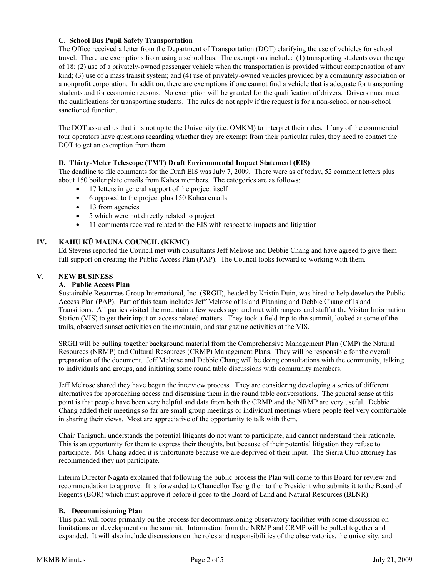# **C. School Bus Pupil Safety Transportation**

The Office received a letter from the Department of Transportation (DOT) clarifying the use of vehicles for school travel. There are exemptions from using a school bus. The exemptions include: (1) transporting students over the age of 18; (2) use of a privately-owned passenger vehicle when the transportation is provided without compensation of any kind; (3) use of a mass transit system; and (4) use of privately-owned vehicles provided by a community association or a nonprofit corporation. In addition, there are exemptions if one cannot find a vehicle that is adequate for transporting students and for economic reasons. No exemption will be granted for the qualification of drivers. Drivers must meet the qualifications for transporting students. The rules do not apply if the request is for a non-school or non-school sanctioned function.

The DOT assured us that it is not up to the University (i.e. OMKM) to interpret their rules. If any of the commercial tour operators have questions regarding whether they are exempt from their particular rules, they need to contact the DOT to get an exemption from them.

# **D. Thirty-Meter Telescope (TMT) Draft Environmental Impact Statement (EIS)**

The deadline to file comments for the Draft EIS was July 7, 2009. There were as of today, 52 comment letters plus about 150 boiler plate emails from Kahea members. The categories are as follows:

- 17 letters in general support of the project itself
- 6 opposed to the project plus 150 Kahea emails
- 13 from agencies
- 5 which were not directly related to project
- 11 comments received related to the EIS with respect to impacts and litigation

## **IV. KAHU KŪ MAUNA COUNCIL (KKMC)**

Ed Stevens reported the Council met with consultants Jeff Melrose and Debbie Chang and have agreed to give them full support on creating the Public Access Plan (PAP). The Council looks forward to working with them.

# **V. NEW BUSINESS**

## **A. Public Access Plan**

Sustainable Resources Group International, Inc. (SRGII), headed by Kristin Duin, was hired to help develop the Public Access Plan (PAP). Part of this team includes Jeff Melrose of Island Planning and Debbie Chang of Island Transitions. All parties visited the mountain a few weeks ago and met with rangers and staff at the Visitor Information Station (VIS) to get their input on access related matters. They took a field trip to the summit, looked at some of the trails, observed sunset activities on the mountain, and star gazing activities at the VIS.

SRGII will be pulling together background material from the Comprehensive Management Plan (CMP) the Natural Resources (NRMP) and Cultural Resources (CRMP) Management Plans. They will be responsible for the overall preparation of the document. Jeff Melrose and Debbie Chang will be doing consultations with the community, talking to individuals and groups, and initiating some round table discussions with community members.

Jeff Melrose shared they have begun the interview process. They are considering developing a series of different alternatives for approaching access and discussing them in the round table conversations. The general sense at this point is that people have been very helpful and data from both the CRMP and the NRMP are very useful. Debbie Chang added their meetings so far are small group meetings or individual meetings where people feel very comfortable in sharing their views. Most are appreciative of the opportunity to talk with them.

Chair Taniguchi understands the potential litigants do not want to participate, and cannot understand their rationale. This is an opportunity for them to express their thoughts, but because of their potential litigation they refuse to participate. Ms. Chang added it is unfortunate because we are deprived of their input. The Sierra Club attorney has recommended they not participate.

Interim Director Nagata explained that following the public process the Plan will come to this Board for review and recommendation to approve. It is forwarded to Chancellor Tseng then to the President who submits it to the Board of Regents (BOR) which must approve it before it goes to the Board of Land and Natural Resources (BLNR).

## **B. Decommissioning Plan**

This plan will focus primarily on the process for decommissioning observatory facilities with some discussion on limitations on development on the summit. Information from the NRMP and CRMP will be pulled together and expanded. It will also include discussions on the roles and responsibilities of the observatories, the university, and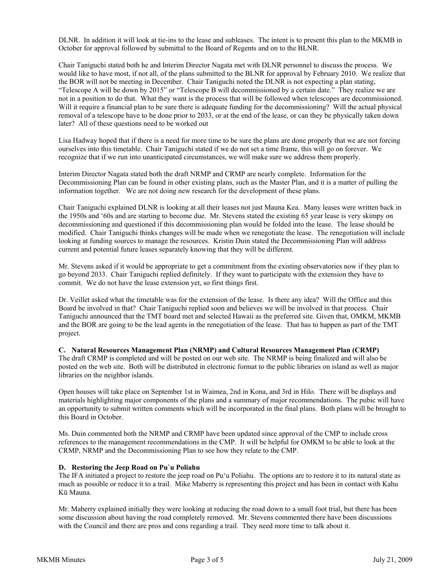DLNR. In addition it will look at tie-ins to the lease and subleases. The intent is to present this plan to the MKMB in October for approval followed by submittal to the Board of Regents and on to the BLNR.

Chair Taniguchi stated both he and Interim Director Nagata met with DLNR personnel to discuss the process. We would like to have most, if not all, of the plans submitted to the BLNR for approval by February 2010. We realize that the BOR will not be meeting in December. Chair Taniguchi noted the DLNR is not expecting a plan stating, "Telescope A will be down by 2015" or "Telescope B will decommissioned by a certain date." They realize we are not in a position to do that. What they want is the process that will be followed when telescopes are decommissioned. Will it require a financial plan to be sure there is adequate funding for the decommissioning? Will the actual physical removal of a telescope have to be done prior to 2033, or at the end of the lease, or can they be physically taken down later? All of these questions need to be worked out

Lisa Hadway hoped that if there is a need for more time to be sure the plans are done properly that we are not forcing ourselves into this timetable. Chair Taniguchi stated if we do not set a time frame, this will go on forever. We recognize that if we run into unanticipated circumstances, we will make sure we address them properly.

Interim Director Nagata stated both the draft NRMP and CRMP are nearly complete. Information for the Decommissioning Plan can be found in other existing plans, such as the Master Plan, and it is a matter of pulling the information together. We are not doing new research for the development of these plans.

Chair Taniguchi explained DLNR is looking at all their leases not just Mauna Kea. Many leases were written back in the 1950s and '60s and are starting to become due. Mr. Stevens stated the existing 65 year lease is very skimpy on decommissioning and questioned if this decommissioning plan would be folded into the lease. The lease should be modified. Chair Taniguchi thinks changes will be made when we renegotiate the lease. The renegotiation will include looking at funding sources to manage the resources. Kristin Duin stated the Decommissioning Plan will address current and potential future leases separately knowing that they will be different.

Mr. Stevens asked if it would be appropriate to get a commitment from the existing observatories now if they plan to go beyond 2033. Chair Taniguchi replied definitely. If they want to participate with the extension they have to commit. We do not have the lease extension yet, so first things first.

Dr. Veillet asked what the timetable was for the extension of the lease. Is there any idea? Will the Office and this Board be involved in that? Chair Taniguchi replied soon and believes we will be involved in that process. Chair Taniguchi announced that the TMT board met and selected Hawaii as the preferred site. Given that, OMKM, MKMB and the BOR are going to be the lead agents in the renegotiation of the lease. That has to happen as part of the TMT project.

**C. Natural Resources Management Plan (NRMP) and Cultural Resources Management Plan (CRMP)**  The draft CRMP is completed and will be posted on our web site. The NRMP is being finalized and will also be posted on the web site. Both will be distributed in electronic format to the public libraries on island as well as major libraries on the neighbor islands.

Open houses will take place on September 1st in Waimea, 2nd in Kona, and 3rd in Hilo. There will be displays and materials highlighting major components of the plans and a summary of major recommendations. The pubic will have an opportunity to submit written comments which will be incorporated in the final plans. Both plans will be brought to this Board in October.

Ms. Duin commented both the NRMP and CRMP have been updated since approval of the CMP to include cross references to the management recommendations in the CMP. It will be helpful for OMKM to be able to look at the CRMP, NRMP and the Decommissioning Plan to see how they relate to the CMP.

## **D. Restoring the Jeep Road on Pu`u Poliahu**

The IFA initiated a project to restore the jeep road on Pu'u Poliahu. The options are to restore it to its natural state as much as possible or reduce it to a trail. Mike Maberry is representing this project and has been in contact with Kahu Kū Mauna.

Mr. Maberry explained initially they were looking at reducing the road down to a small foot trial, but there has been some discussion about having the road completely removed. Mr. Stevens commented there have been discussions with the Council and there are pros and cons regarding a trail. They need more time to talk about it.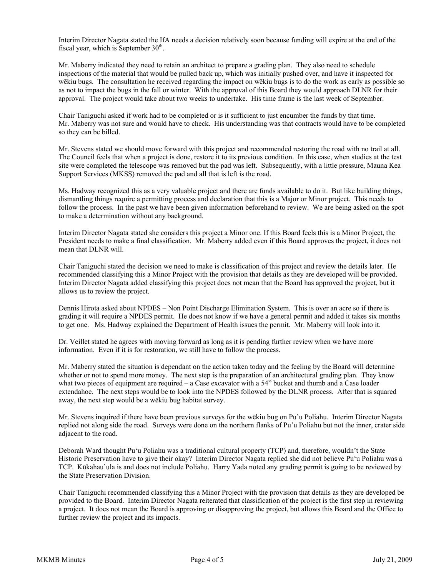Interim Director Nagata stated the IfA needs a decision relatively soon because funding will expire at the end of the fiscal year, which is September  $30<sup>th</sup>$ .

Mr. Maberry indicated they need to retain an architect to prepare a grading plan. They also need to schedule inspections of the material that would be pulled back up, which was initially pushed over, and have it inspected for wēkiu bugs. The consultation he received regarding the impact on wēkiu bugs is to do the work as early as possible so as not to impact the bugs in the fall or winter. With the approval of this Board they would approach DLNR for their approval. The project would take about two weeks to undertake. His time frame is the last week of September.

Chair Taniguchi asked if work had to be completed or is it sufficient to just encumber the funds by that time. Mr. Maberry was not sure and would have to check. His understanding was that contracts would have to be completed so they can be billed.

Mr. Stevens stated we should move forward with this project and recommended restoring the road with no trail at all. The Council feels that when a project is done, restore it to its previous condition. In this case, when studies at the test site were completed the telescope was removed but the pad was left. Subsequently, with a little pressure, Mauna Kea Support Services (MKSS) removed the pad and all that is left is the road.

Ms. Hadway recognized this as a very valuable project and there are funds available to do it. But like building things, dismantling things require a permitting process and declaration that this is a Major or Minor project. This needs to follow the process. In the past we have been given information beforehand to review. We are being asked on the spot to make a determination without any background.

Interim Director Nagata stated she considers this project a Minor one. If this Board feels this is a Minor Project, the President needs to make a final classification. Mr. Maberry added even if this Board approves the project, it does not mean that DLNR will.

Chair Taniguchi stated the decision we need to make is classification of this project and review the details later. He recommended classifying this a Minor Project with the provision that details as they are developed will be provided. Interim Director Nagata added classifying this project does not mean that the Board has approved the project, but it allows us to review the project.

Dennis Hirota asked about NPDES – Non Point Discharge Elimination System. This is over an acre so if there is grading it will require a NPDES permit. He does not know if we have a general permit and added it takes six months to get one. Ms. Hadway explained the Department of Health issues the permit. Mr. Maberry will look into it.

Dr. Veillet stated he agrees with moving forward as long as it is pending further review when we have more information. Even if it is for restoration, we still have to follow the process.

Mr. Maberry stated the situation is dependant on the action taken today and the feeling by the Board will determine whether or not to spend more money. The next step is the preparation of an architectural grading plan. They know what two pieces of equipment are required – a Case excavator with a 54" bucket and thumb and a Case loader extendahoe. The next steps would be to look into the NPDES followed by the DLNR process. After that is squared away, the next step would be a wēkiu bug habitat survey.

Mr. Stevens inquired if there have been previous surveys for the wēkiu bug on Pu'u Poliahu. Interim Director Nagata replied not along side the road. Surveys were done on the northern flanks of Pu'u Poliahu but not the inner, crater side adjacent to the road.

Deborah Ward thought Pu'u Poliahu was a traditional cultural property (TCP) and, therefore, wouldn't the State Historic Preservation have to give their okay? Interim Director Nagata replied she did not believe Pu'u Poliahu was a TCP. Kūkahau`ula is and does not include Poliahu. Harry Yada noted any grading permit is going to be reviewed by the State Preservation Division.

Chair Taniguchi recommended classifying this a Minor Project with the provision that details as they are developed be provided to the Board. Interim Director Nagata reiterated that classification of the project is the first step in reviewing a project. It does not mean the Board is approving or disapproving the project, but allows this Board and the Office to further review the project and its impacts.